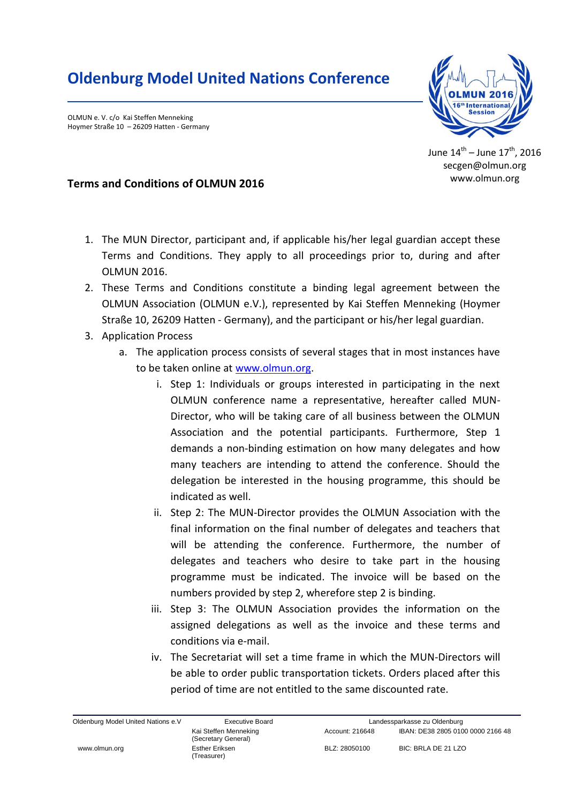## **Oldenburg Model United Nations Conference**

OLMUN e. V. c/o Kai Steffen Menneking Hoymer Straße 10 – 26209 Hatten - Germany



June  $14^{\text{th}}$  – June  $17^{\text{th}}$ , 2016 secgen@olmun.org www.olmun.org

## **Terms and Conditions of OLMUN 2016**

- 1. The MUN Director, participant and, if applicable his/her legal guardian accept these Terms and Conditions. They apply to all proceedings prior to, during and after OLMUN 2016.
- 2. These Terms and Conditions constitute a binding legal agreement between the OLMUN Association (OLMUN e.V.), represented by Kai Steffen Menneking (Hoymer Straße 10, 26209 Hatten - Germany), and the participant or his/her legal guardian.
- 3. Application Process
	- a. The application process consists of several stages that in most instances have to be taken online at [www.olmun.org.](http://www.olmun.org/)
		- i. Step 1: Individuals or groups interested in participating in the next OLMUN conference name a representative, hereafter called MUN-Director, who will be taking care of all business between the OLMUN Association and the potential participants. Furthermore, Step 1 demands a non-binding estimation on how many delegates and how many teachers are intending to attend the conference. Should the delegation be interested in the housing programme, this should be indicated as well.
		- ii. Step 2: The MUN-Director provides the OLMUN Association with the final information on the final number of delegates and teachers that will be attending the conference. Furthermore, the number of delegates and teachers who desire to take part in the housing programme must be indicated. The invoice will be based on the numbers provided by step 2, wherefore step 2 is binding.
		- iii. Step 3: The OLMUN Association provides the information on the assigned delegations as well as the invoice and these terms and conditions via e-mail.
		- iv. The Secretariat will set a time frame in which the MUN-Directors will be able to order public transportation tickets. Orders placed after this period of time are not entitled to the same discounted rate.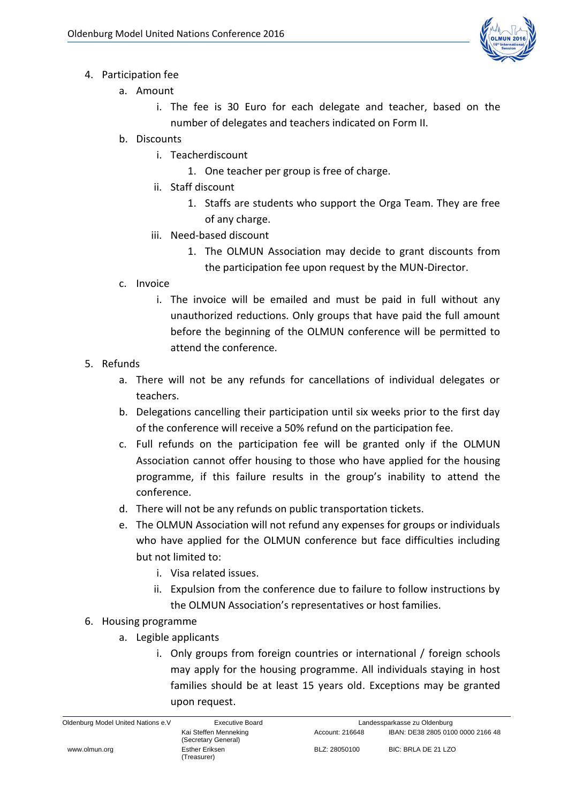

- 4. Participation fee
	- a. Amount
		- i. The fee is 30 Euro for each delegate and teacher, based on the number of delegates and teachers indicated on Form II.
	- b. Discounts
		- i. Teacherdiscount
			- 1. One teacher per group is free of charge.
		- ii. Staff discount
			- 1. Staffs are students who support the Orga Team. They are free of any charge.
		- iii. Need-based discount
			- 1. The OLMUN Association may decide to grant discounts from the participation fee upon request by the MUN-Director.
	- c. Invoice
		- i. The invoice will be emailed and must be paid in full without any unauthorized reductions. Only groups that have paid the full amount before the beginning of the OLMUN conference will be permitted to attend the conference.
- 5. Refunds
	- a. There will not be any refunds for cancellations of individual delegates or teachers.
	- b. Delegations cancelling their participation until six weeks prior to the first day of the conference will receive a 50% refund on the participation fee.
	- c. Full refunds on the participation fee will be granted only if the OLMUN Association cannot offer housing to those who have applied for the housing programme, if this failure results in the group's inability to attend the conference.
	- d. There will not be any refunds on public transportation tickets.
	- e. The OLMUN Association will not refund any expenses for groups or individuals who have applied for the OLMUN conference but face difficulties including but not limited to:
		- i. Visa related issues.
		- ii. Expulsion from the conference due to failure to follow instructions by the OLMUN Association's representatives or host families.
- 6. Housing programme
	- a. Legible applicants
		- i. Only groups from foreign countries or international / foreign schools may apply for the housing programme. All individuals staying in host families should be at least 15 years old. Exceptions may be granted upon request.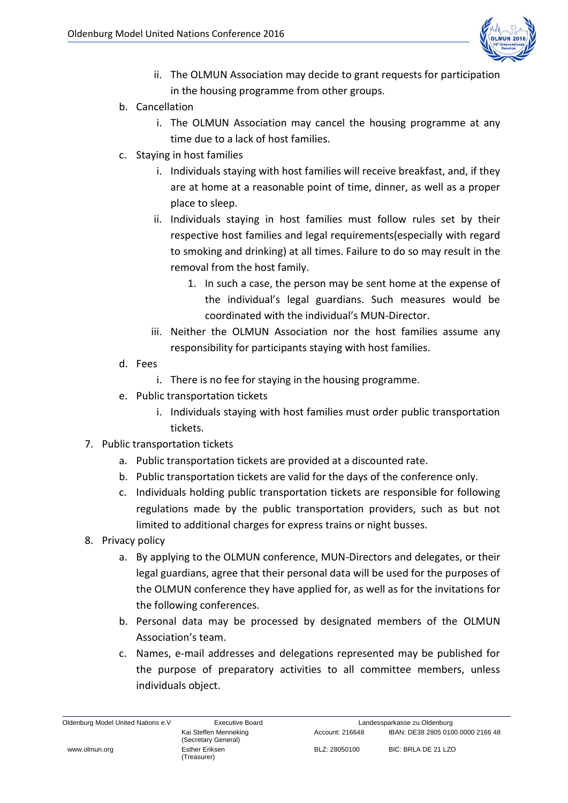

- ii. The OLMUN Association may decide to grant requests for participation in the housing programme from other groups.
- b. Cancellation
	- i. The OLMUN Association may cancel the housing programme at any time due to a lack of host families.
- c. Staying in host families
	- i. Individuals staying with host families will receive breakfast, and, if they are at home at a reasonable point of time, dinner, as well as a proper place to sleep.
	- ii. Individuals staying in host families must follow rules set by their respective host families and legal requirements(especially with regard to smoking and drinking) at all times. Failure to do so may result in the removal from the host family.
		- 1. In such a case, the person may be sent home at the expense of the individual's legal guardians. Such measures would be coordinated with the individual's MUN-Director.
	- iii. Neither the OLMUN Association nor the host families assume any responsibility for participants staying with host families.
- d. Fees
	- i. There is no fee for staying in the housing programme.
- e. Public transportation tickets
	- i. Individuals staying with host families must order public transportation tickets.
- 7. Public transportation tickets
	- a. Public transportation tickets are provided at a discounted rate.
	- b. Public transportation tickets are valid for the days of the conference only.
	- c. Individuals holding public transportation tickets are responsible for following regulations made by the public transportation providers, such as but not limited to additional charges for express trains or night busses.
- 8. Privacy policy
	- a. By applying to the OLMUN conference, MUN-Directors and delegates, or their legal guardians, agree that their personal data will be used for the purposes of the OLMUN conference they have applied for, as well as for the invitations for the following conferences.
	- b. Personal data may be processed by designated members of the OLMUN Association's team.
	- c. Names, e-mail addresses and delegations represented may be published for the purpose of preparatory activities to all committee members, unless individuals object.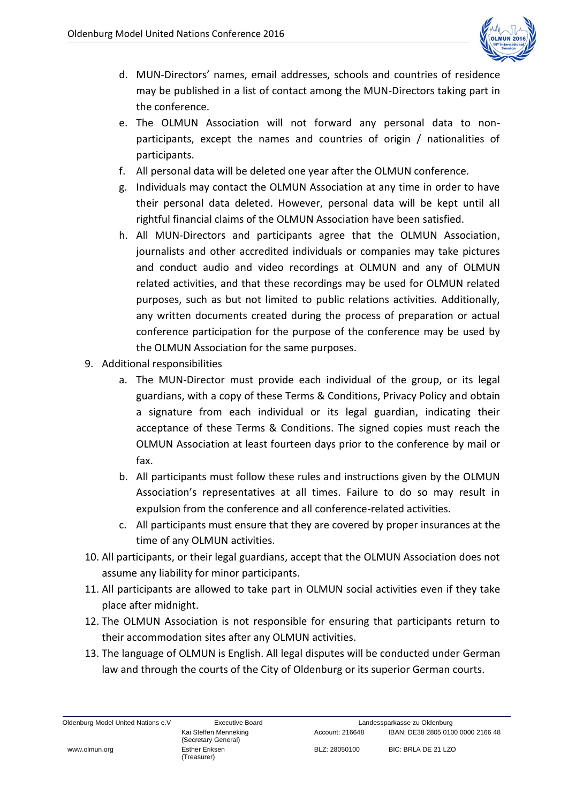

- d. MUN-Directors' names, email addresses, schools and countries of residence may be published in a list of contact among the MUN-Directors taking part in the conference.
- e. The OLMUN Association will not forward any personal data to nonparticipants, except the names and countries of origin / nationalities of participants.
- f. All personal data will be deleted one year after the OLMUN conference.
- g. Individuals may contact the OLMUN Association at any time in order to have their personal data deleted. However, personal data will be kept until all rightful financial claims of the OLMUN Association have been satisfied.
- h. All MUN-Directors and participants agree that the OLMUN Association, journalists and other accredited individuals or companies may take pictures and conduct audio and video recordings at OLMUN and any of OLMUN related activities, and that these recordings may be used for OLMUN related purposes, such as but not limited to public relations activities. Additionally, any written documents created during the process of preparation or actual conference participation for the purpose of the conference may be used by the OLMUN Association for the same purposes.
- 9. Additional responsibilities
	- a. The MUN-Director must provide each individual of the group, or its legal guardians, with a copy of these Terms & Conditions, Privacy Policy and obtain a signature from each individual or its legal guardian, indicating their acceptance of these Terms & Conditions. The signed copies must reach the OLMUN Association at least fourteen days prior to the conference by mail or fax.
	- b. All participants must follow these rules and instructions given by the OLMUN Association's representatives at all times. Failure to do so may result in expulsion from the conference and all conference-related activities.
	- c. All participants must ensure that they are covered by proper insurances at the time of any OLMUN activities.
- 10. All participants, or their legal guardians, accept that the OLMUN Association does not assume any liability for minor participants.
- 11. All participants are allowed to take part in OLMUN social activities even if they take place after midnight.
- 12. The OLMUN Association is not responsible for ensuring that participants return to their accommodation sites after any OLMUN activities.
- 13. The language of OLMUN is English. All legal disputes will be conducted under German law and through the courts of the City of Oldenburg or its superior German courts.